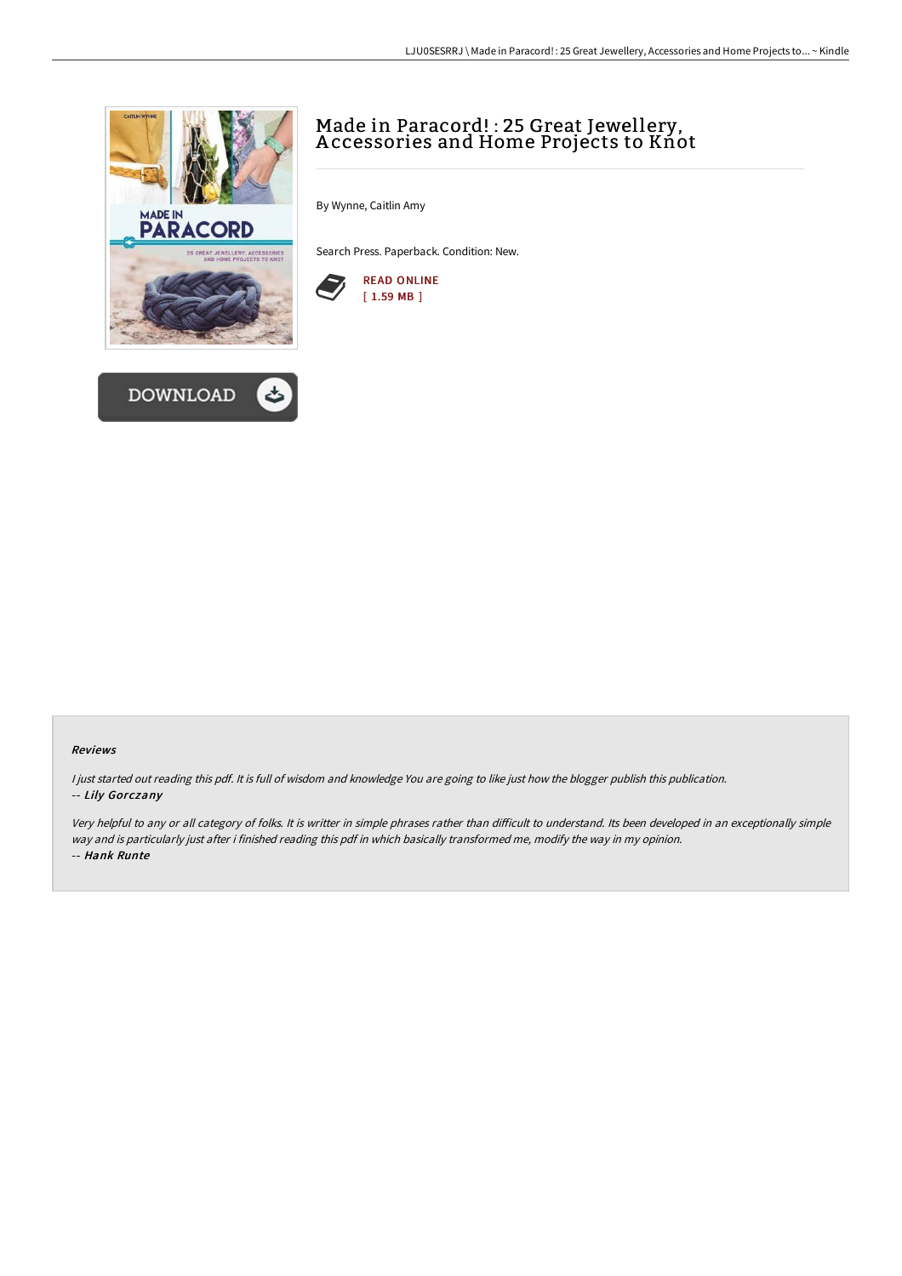



# Made in Paracord! : 25 Great Jewellery, A ccessories and Home Projects to Knot

By Wynne, Caitlin Amy

Search Press. Paperback. Condition: New.



#### Reviews

<sup>I</sup> just started out reading this pdf. It is full of wisdom and knowledge You are going to like just how the blogger publish this publication. -- Lily Gorczany

Very helpful to any or all category of folks. It is writter in simple phrases rather than difficult to understand. Its been developed in an exceptionally simple way and is particularly just after i finished reading this pdf in which basically transformed me, modify the way in my opinion. -- Hank Runte